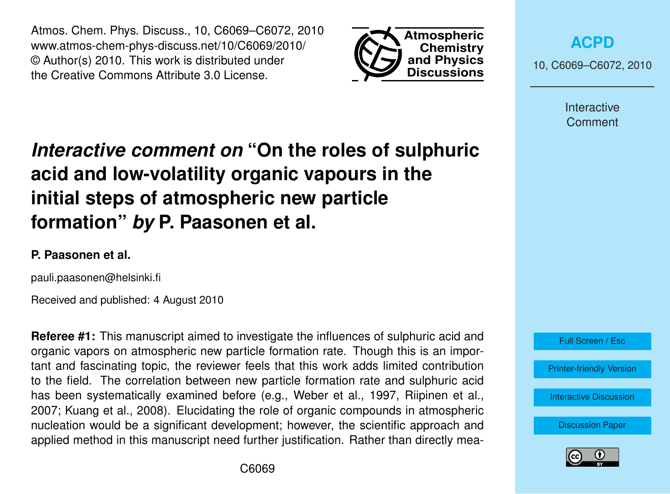Atmos. Chem. Phys. Discuss., 10, C6069–C6072, 2010 www.atmos-chem-phys-discuss.net/10/C6069/2010/ © Author(s) 2010. This work is distributed under the Creative Commons Attribute 3.0 License.



**[ACPD](http://www.atmos-chem-phys-discuss.net)**

10, C6069–C6072, 2010

Interactive Comment

# *Interactive comment on* **"On the roles of sulphuric acid and low-volatility organic vapours in the initial steps of atmospheric new particle formation"** *by* **P. Paasonen et al.**

#### **P. Paasonen et al.**

pauli.paasonen@helsinki.fi

Received and published: 4 August 2010

**Referee #1:** This manuscript aimed to investigate the influences of sulphuric acid and organic vapors on atmospheric new particle formation rate. Though this is an important and fascinating topic, the reviewer feels that this work adds limited contribution to the field. The correlation between new particle formation rate and sulphuric acid has been systematically examined before (e.g., Weber et al., 1997, Riipinen et al., 2007; Kuang et al., 2008). Elucidating the role of organic compounds in atmospheric nucleation would be a significant development; however, the scientific approach and applied method in this manuscript need further justification. Rather than directly mea-



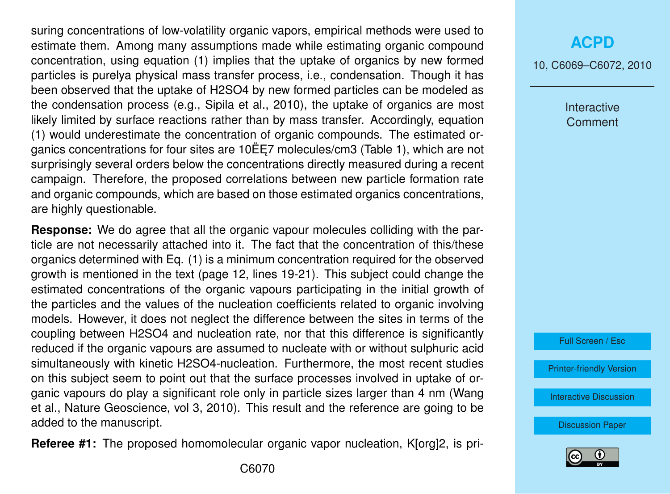suring concentrations of low-volatility organic vapors, empirical methods were used to estimate them. Among many assumptions made while estimating organic compound concentration, using equation (1) implies that the uptake of organics by new formed particles is purelya physical mass transfer process, i.e., condensation. Though it has been observed that the uptake of H2SO4 by new formed particles can be modeled as the condensation process (e.g., Sipila et al., 2010), the uptake of organics are most likely limited by surface reactions rather than by mass transfer. Accordingly, equation (1) would underestimate the concentration of organic compounds. The estimated organics concentrations for four sites are 10ËE7 molecules/cm3 (Table 1), which are not surprisingly several orders below the concentrations directly measured during a recent campaign. Therefore, the proposed correlations between new particle formation rate and organic compounds, which are based on those estimated organics concentrations, are highly questionable.

**Response:** We do agree that all the organic vapour molecules colliding with the particle are not necessarily attached into it. The fact that the concentration of this/these organics determined with Eq. (1) is a minimum concentration required for the observed growth is mentioned in the text (page 12, lines 19-21). This subject could change the estimated concentrations of the organic vapours participating in the initial growth of the particles and the values of the nucleation coefficients related to organic involving models. However, it does not neglect the difference between the sites in terms of the coupling between H2SO4 and nucleation rate, nor that this difference is significantly reduced if the organic vapours are assumed to nucleate with or without sulphuric acid simultaneously with kinetic H2SO4-nucleation. Furthermore, the most recent studies on this subject seem to point out that the surface processes involved in uptake of organic vapours do play a significant role only in particle sizes larger than 4 nm (Wang et al., Nature Geoscience, vol 3, 2010). This result and the reference are going to be added to the manuscript.

**Referee #1:** The proposed homomolecular organic vapor nucleation, K[org]2, is pri-

#### **[ACPD](http://www.atmos-chem-phys-discuss.net)**

10, C6069–C6072, 2010

Interactive **Comment** 

Full Screen / Esc

[Printer-friendly Version](http://www.atmos-chem-phys-discuss.net/10/C6069/2010/acpd-10-C6069-2010-print.pdf)

[Interactive Discussion](http://www.atmos-chem-phys-discuss.net/10/11795/2010/acpd-10-11795-2010-discussion.html)

[Discussion Paper](http://www.atmos-chem-phys-discuss.net/10/11795/2010/acpd-10-11795-2010.pdf)

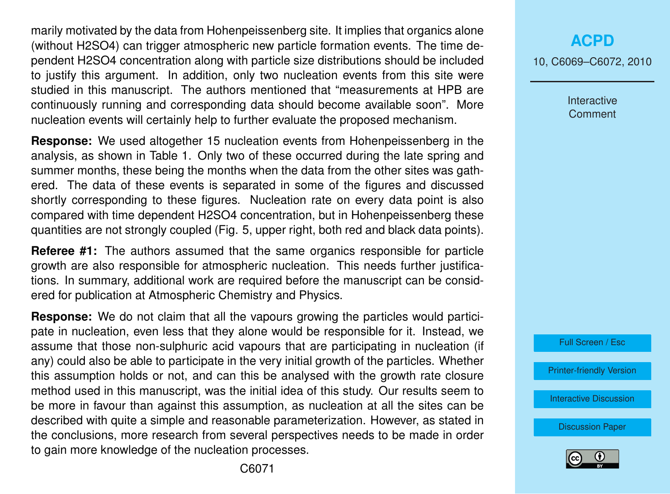marily motivated by the data from Hohenpeissenberg site. It implies that organics alone (without H2SO4) can trigger atmospheric new particle formation events. The time dependent H2SO4 concentration along with particle size distributions should be included to justify this argument. In addition, only two nucleation events from this site were studied in this manuscript. The authors mentioned that "measurements at HPB are continuously running and corresponding data should become available soon". More nucleation events will certainly help to further evaluate the proposed mechanism.

**Response:** We used altogether 15 nucleation events from Hohenpeissenberg in the analysis, as shown in Table 1. Only two of these occurred during the late spring and summer months, these being the months when the data from the other sites was gathered. The data of these events is separated in some of the figures and discussed shortly corresponding to these figures. Nucleation rate on every data point is also compared with time dependent H2SO4 concentration, but in Hohenpeissenberg these quantities are not strongly coupled (Fig. 5, upper right, both red and black data points).

**Referee #1:** The authors assumed that the same organics responsible for particle growth are also responsible for atmospheric nucleation. This needs further justifications. In summary, additional work are required before the manuscript can be considered for publication at Atmospheric Chemistry and Physics.

**Response:** We do not claim that all the vapours growing the particles would participate in nucleation, even less that they alone would be responsible for it. Instead, we assume that those non-sulphuric acid vapours that are participating in nucleation (if any) could also be able to participate in the very initial growth of the particles. Whether this assumption holds or not, and can this be analysed with the growth rate closure method used in this manuscript, was the initial idea of this study. Our results seem to be more in favour than against this assumption, as nucleation at all the sites can be described with quite a simple and reasonable parameterization. However, as stated in the conclusions, more research from several perspectives needs to be made in order to gain more knowledge of the nucleation processes.

## **[ACPD](http://www.atmos-chem-phys-discuss.net)** 10, C6069–C6072, 2010

Interactive **Comment** 



[Printer-friendly Version](http://www.atmos-chem-phys-discuss.net/10/C6069/2010/acpd-10-C6069-2010-print.pdf)

[Interactive Discussion](http://www.atmos-chem-phys-discuss.net/10/11795/2010/acpd-10-11795-2010-discussion.html)

[Discussion Paper](http://www.atmos-chem-phys-discuss.net/10/11795/2010/acpd-10-11795-2010.pdf)